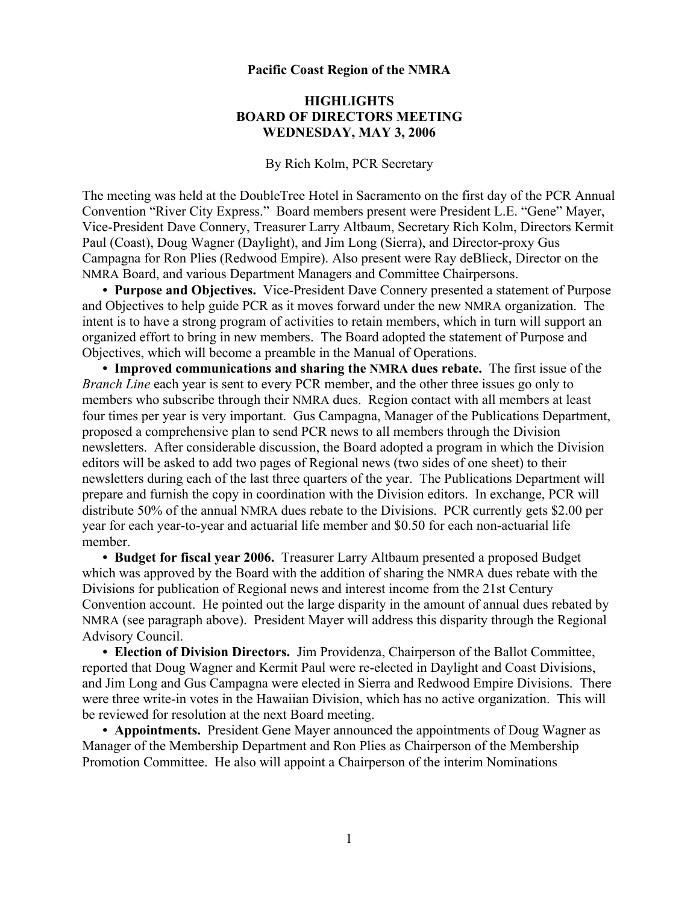## **Pacific Coast Region of the NMRA**

## **HIGHLIGHTS BOARD OF DIRECTORS MEETING WEDNESDAY, MAY 3, 2006**

By Rich Kolm, PCR Secretary

The meeting was held at the DoubleTree Hotel in Sacramento on the first day of the PCR Annual Convention "River City Express." Board members present were President L.E. "Gene" Mayer, Vice-President Dave Connery, Treasurer Larry Altbaum, Secretary Rich Kolm, Directors Kermit Paul (Coast), Doug Wagner (Daylight), and Jim Long (Sierra), and Director-proxy Gus Campagna for Ron Plies (Redwood Empire). Also present were Ray deBlieck, Director on the NMRA Board, and various Department Managers and Committee Chairpersons.

**• Purpose and Objectives.** Vice-President Dave Connery presented a statement of Purpose and Objectives to help guide PCR as it moves forward under the new NMRA organization. The intent is to have a strong program of activities to retain members, which in turn will support an organized effort to bring in new members. The Board adopted the statement of Purpose and Objectives, which will become a preamble in the Manual of Operations.

**• Improved communications and sharing the NMRA dues rebate.** The first issue of the *Branch Line* each year is sent to every PCR member, and the other three issues go only to members who subscribe through their NMRA dues. Region contact with all members at least four times per year is very important. Gus Campagna, Manager of the Publications Department, proposed a comprehensive plan to send PCR news to all members through the Division newsletters. After considerable discussion, the Board adopted a program in which the Division editors will be asked to add two pages of Regional news (two sides of one sheet) to their newsletters during each of the last three quarters of the year. The Publications Department will prepare and furnish the copy in coordination with the Division editors. In exchange, PCR will distribute 50% of the annual NMRA dues rebate to the Divisions. PCR currently gets \$2.00 per year for each year-to-year and actuarial life member and \$0.50 for each non-actuarial life member.

**• Budget for fiscal year 2006.** Treasurer Larry Altbaum presented a proposed Budget which was approved by the Board with the addition of sharing the NMRA dues rebate with the Divisions for publication of Regional news and interest income from the 21st Century Convention account. He pointed out the large disparity in the amount of annual dues rebated by NMRA (see paragraph above). President Mayer will address this disparity through the Regional Advisory Council.

**• Election of Division Directors.** Jim Providenza, Chairperson of the Ballot Committee, reported that Doug Wagner and Kermit Paul were re-elected in Daylight and Coast Divisions, and Jim Long and Gus Campagna were elected in Sierra and Redwood Empire Divisions. There were three write-in votes in the Hawaiian Division, which has no active organization. This will be reviewed for resolution at the next Board meeting.

**• Appointments.** President Gene Mayer announced the appointments of Doug Wagner as Manager of the Membership Department and Ron Plies as Chairperson of the Membership Promotion Committee. He also will appoint a Chairperson of the interim Nominations